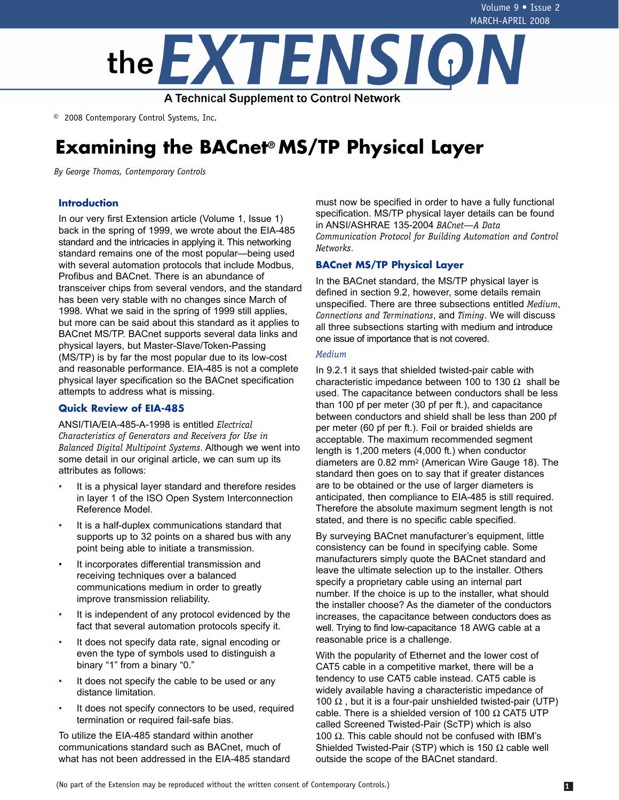

© 2008 Contemporary Control Systems, Inc.

# **Examining the BACnet® MS/TP Physical Layer**

*By George Thomas, Contemporary Controls*

# **Introduction**

In our very first Extension article (Volume 1, Issue 1) back in the spring of 1999, we wrote about the EIA-485 standard and the intricacies in applying it. This networking standard remains one of the most popular—being used with several automation protocols that include Modbus, Profibus and BACnet. There is an abundance of transceiver chips from several vendors, and the standard has been very stable with no changes since March of 1998. What we said in the spring of 1999 still applies, but more can be said about this standard as it applies to BACnet MS/TP. BACnet supports several data links and physical layers, but Master-Slave/Token-Passing (MS/TP) is by far the most popular due to its low-cost and reasonable performance. EIA-485 is not a complete physical layer specification so the BACnet specification attempts to address what is missing.

# **Quick Review of EIA-485**

ANSI/TIA/EIA-485-A-1998 is entitled *Electrical Characteristics of Generators and Receivers for Use in Balanced Digital Multipoint Systems*. Although we went into some detail in our original article, we can sum up its attributes as follows:

- It is a physical layer standard and therefore resides in layer 1 of the ISO Open System Interconnection Reference Model.
- It is a half-duplex communications standard that supports up to 32 points on a shared bus with any point being able to initiate a transmission.
- It incorporates differential transmission and receiving techniques over a balanced communications medium in order to greatly improve transmission reliability.
- It is independent of any protocol evidenced by the fact that several automation protocols specify it.
- It does not specify data rate, signal encoding or even the type of symbols used to distinguish a binary "1" from a binary "0."
- It does not specify the cable to be used or any distance limitation.
- It does not specify connectors to be used, required termination or required fail-safe bias.

To utilize the EIA-485 standard within another communications standard such as BACnet, much of what has not been addressed in the EIA-485 standard must now be specified in order to have a fully functional specification. MS/TP physical layer details can be found in ANSI/ASHRAE 135-2004 *BACnet—A Data Communication Protocol for Building Automation and Control Networks*.

# **BACnet MS/TP Physical Layer**

In the BACnet standard, the MS/TP physical layer is defined in section 9.2, however, some details remain unspecified. There are three subsections entitled *Medium*, *Connections and Terminations*, and *Timing*. We will discuss all three subsections starting with medium and introduce one issue of importance that is not covered.

### *Medium*

In 9.2.1 it says that shielded twisted-pair cable with characteristic impedance between 100 to 130  $\Omega$  shall be used. The capacitance between conductors shall be less than 100 pf per meter (30 pf per ft.), and capacitance between conductors and shield shall be less than 200 pf per meter (60 pf per ft.). Foil or braided shields are acceptable. The maximum recommended segment length is 1,200 meters (4,000 ft.) when conductor diameters are 0.82 mm2 (American Wire Gauge 18). The standard then goes on to say that if greater distances are to be obtained or the use of larger diameters is anticipated, then compliance to EIA-485 is still required. Therefore the absolute maximum segment length is not stated, and there is no specific cable specified.

By surveying BACnet manufacturer's equipment, little consistency can be found in specifying cable. Some manufacturers simply quote the BACnet standard and leave the ultimate selection up to the installer. Others specify a proprietary cable using an internal part number. If the choice is up to the installer, what should the installer choose? As the diameter of the conductors increases, the capacitance between conductors does as well. Trying to find low-capacitance 18 AWG cable at a reasonable price is a challenge.

With the popularity of Ethernet and the lower cost of CAT5 cable in a competitive market, there will be a tendency to use CAT5 cable instead. CAT5 cable is widely available having a characteristic impedance of 100  $\Omega$ , but it is a four-pair unshielded twisted-pair (UTP) cable. There is a shielded version of 100  $\Omega$  CAT5 UTP called Screened Twisted-Pair (ScTP) which is also 100  $\Omega$ . This cable should not be confused with IBM's Shielded Twisted-Pair (STP) which is 150  $\Omega$  cable well outside the scope of the BACnet standard.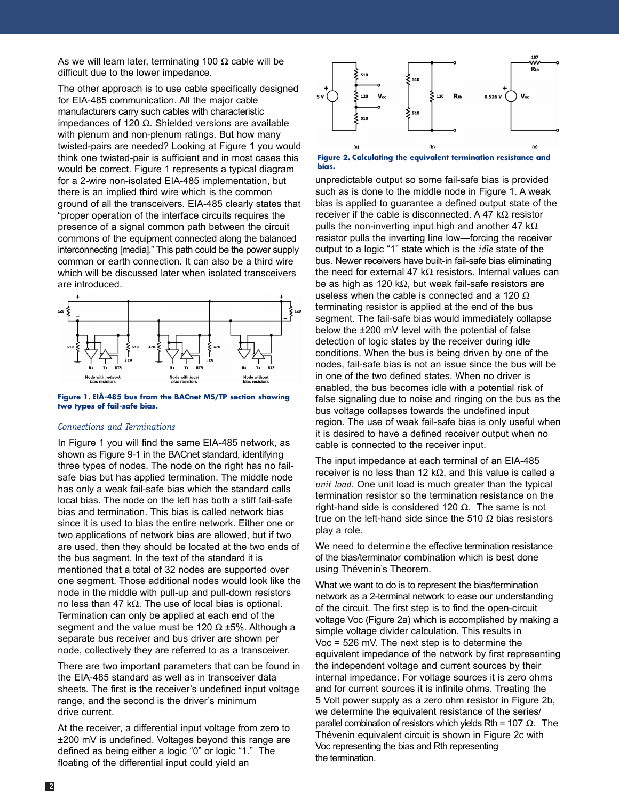As we will learn later, terminating 100  $\Omega$  cable will be difficult due to the lower impedance.

The other approach is to use cable specifically designed for EIA-485 communication. All the major cable manufacturers carry such cables with characteristic impedances of 120 Ω. Shielded versions are available with plenum and non-plenum ratings. But how many twisted-pairs are needed? Looking at Figure 1 you would think one twisted-pair is sufficient and in most cases this would be correct. Figure 1 represents a typical diagram for a 2-wire non-isolated EIA-485 implementation, but there is an implied third wire which is the common ground of all the transceivers. EIA-485 clearly states that "proper operation of the interface circuits requires the presence of a signal common path between the circuit commons of the equipment connected along the balanced interconnecting [media]." This path could be the power supply common or earth connection. It can also be a third wire which will be discussed later when isolated transceivers are introduced.



**Figure 1. EIÅ-485 bus from the BACnet MS/TP section showing two types of fail-safe bias.**

## *Connections and Terminations*

In Figure 1 you will find the same EIA-485 network, as shown as Figure 9-1 in the BACnet standard, identifying three types of nodes. The node on the right has no failsafe bias but has applied termination. The middle node has only a weak fail-safe bias which the standard calls local bias. The node on the left has both a stiff fail-safe bias and termination. This bias is called network bias since it is used to bias the entire network. Either one or two applications of network bias are allowed, but if two are used, then they should be located at the two ends of the bus segment. In the text of the standard it is mentioned that a total of 32 nodes are supported over one segment. Those additional nodes would look like the node in the middle with pull-up and pull-down resistors no less than 47 kΩ. The use of local bias is optional. Termination can only be applied at each end of the segment and the value must be 120  $\Omega$  ±5%. Although a separate bus receiver and bus driver are shown per node, collectively they are referred to as a transceiver.

There are two important parameters that can be found in the EIA-485 standard as well as in transceiver data sheets. The first is the receiver's undefined input voltage range, and the second is the driver's minimum drive current.

At the receiver, a differential input voltage from zero to ±200 mV is undefined. Voltages beyond this range are defined as being either a logic "0" or logic "1." The floating of the differential input could yield an



**Figure 2. Calculating the equivalent termination resistance and bias.**

unpredictable output so some fail-safe bias is provided such as is done to the middle node in Figure 1. A weak bias is applied to guarantee a defined output state of the receiver if the cable is disconnected. A 47 k $\Omega$  resistor pulls the non-inverting input high and another 47 k $\Omega$ resistor pulls the inverting line low—forcing the receiver output to a logic "1" state which is the *idle* state of the bus. Newer receivers have built-in fail-safe bias eliminating the need for external 47 kΩ resistors. Internal values can be as high as 120 kΩ, but weak fail-safe resistors are useless when the cable is connected and a 120  $\Omega$ terminating resistor is applied at the end of the bus segment. The fail-safe bias would immediately collapse below the ±200 mV level with the potential of false detection of logic states by the receiver during idle conditions. When the bus is being driven by one of the nodes, fail-safe bias is not an issue since the bus will be in one of the two defined states. When no driver is enabled, the bus becomes idle with a potential risk of false signaling due to noise and ringing on the bus as the bus voltage collapses towards the undefined input region. The use of weak fail-safe bias is only useful when it is desired to have a defined receiver output when no cable is connected to the receiver input.

The input impedance at each terminal of an EIA-485 receiver is no less than 12 kΩ, and this value is called a *unit load*. One unit load is much greater than the typical termination resistor so the termination resistance on the right-hand side is considered 120  $\Omega$ . The same is not true on the left-hand side since the 510  $\Omega$  bias resistors play a role.

We need to determine the effective termination resistance of the bias/terminator combination which is best done using Thévenin's Theorem.

What we want to do is to represent the bias/termination network as a 2-terminal network to ease our understanding of the circuit. The first step is to find the open-circuit voltage Voc (Figure 2a) which is accomplished by making a simple voltage divider calculation. This results in Voc = 526 mV. The next step is to determine the equivalent impedance of the network by first representing the independent voltage and current sources by their internal impedance. For voltage sources it is zero ohms and for current sources it is infinite ohms. Treating the 5 Volt power supply as a zero ohm resistor in Figure 2b, we determine the equivalent resistance of the series/ parallel combination of resistors which yields Rth = 107  $\Omega$ . The Thévenin equivalent circuit is shown in Figure 2c with Voc representing the bias and Rth representing the termination.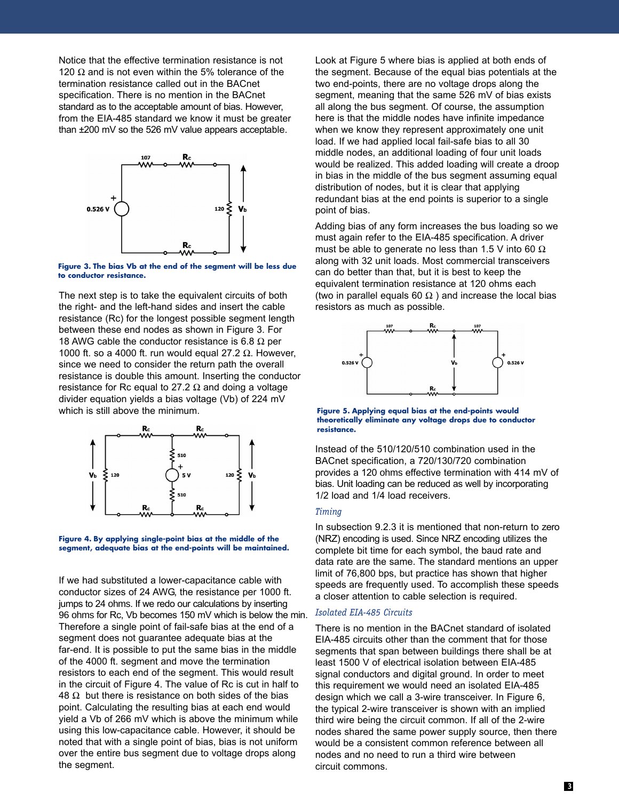Notice that the effective termination resistance is not 120  $\Omega$  and is not even within the 5% tolerance of the termination resistance called out in the BACnet specification. There is no mention in the BACnet standard as to the acceptable amount of bias. However, from the EIA-485 standard we know it must be greater than ±200 mV so the 526 mV value appears acceptable.



**Figure 3. The bias Vb at the end of the segment will be less due to conductor resistance.**

The next step is to take the equivalent circuits of both the right- and the left-hand sides and insert the cable resistance (Rc) for the longest possible segment length between these end nodes as shown in Figure 3. For 18 AWG cable the conductor resistance is 6.8  $\Omega$  per 1000 ft. so a 4000 ft. run would equal 27.2  $\Omega$ . However, since we need to consider the return path the overall resistance is double this amount. Inserting the conductor resistance for Rc equal to 27.2  $\Omega$  and doing a voltage divider equation yields a bias voltage (Vb) of 224 mV which is still above the minimum.





If we had substituted a lower-capacitance cable with conductor sizes of 24 AWG, the resistance per 1000 ft. jumps to 24 ohms. If we redo our calculations by inserting 96 ohms for Rc, Vb becomes 150 mV which is below the min. Therefore a single point of fail-safe bias at the end of a segment does not guarantee adequate bias at the far-end. It is possible to put the same bias in the middle of the 4000 ft. segment and move the termination resistors to each end of the segment. This would result in the circuit of Figure 4. The value of Rc is cut in half to 48  $Ω$  but there is resistance on both sides of the bias point. Calculating the resulting bias at each end would yield a Vb of 266 mV which is above the minimum while using this low-capacitance cable. However, it should be noted that with a single point of bias, bias is not uniform over the entire bus segment due to voltage drops along the segment.

Look at Figure 5 where bias is applied at both ends of the segment. Because of the equal bias potentials at the two end-points, there are no voltage drops along the segment, meaning that the same 526 mV of bias exists all along the bus segment. Of course, the assumption here is that the middle nodes have infinite impedance when we know they represent approximately one unit load. If we had applied local fail-safe bias to all 30 middle nodes, an additional loading of four unit loads would be realized. This added loading will create a droop in bias in the middle of the bus segment assuming equal distribution of nodes, but it is clear that applying redundant bias at the end points is superior to a single point of bias.

Adding bias of any form increases the bus loading so we must again refer to the EIA-485 specification. A driver must be able to generate no less than 1.5 V into 60  $\Omega$ along with 32 unit loads. Most commercial transceivers can do better than that, but it is best to keep the equivalent termination resistance at 120 ohms each (two in parallel equals 60  $\Omega$ ) and increase the local bias resistors as much as possible.



**Figure 5. Applying equal bias at the end-points would theoretically eliminate any voltage drops due to conductor resistance.**

Instead of the 510/120/510 combination used in the BACnet specification, a 720/130/720 combination provides a 120 ohms effective termination with 414 mV of bias. Unit loading can be reduced as well by incorporating 1/2 load and 1/4 load receivers.

#### *Timing*

In subsection 9.2.3 it is mentioned that non-return to zero (NRZ) encoding is used. Since NRZ encoding utilizes the complete bit time for each symbol, the baud rate and data rate are the same. The standard mentions an upper limit of 76,800 bps, but practice has shown that higher speeds are frequently used. To accomplish these speeds a closer attention to cable selection is required.

#### *Isolated EIA-485 Circuits*

There is no mention in the BACnet standard of isolated EIA-485 circuits other than the comment that for those segments that span between buildings there shall be at least 1500 V of electrical isolation between EIA-485 signal conductors and digital ground. In order to meet this requirement we would need an isolated EIA-485 design which we call a 3-wire transceiver. In Figure 6, the typical 2-wire transceiver is shown with an implied third wire being the circuit common. If all of the 2-wire nodes shared the same power supply source, then there would be a consistent common reference between all nodes and no need to run a third wire between circuit commons.